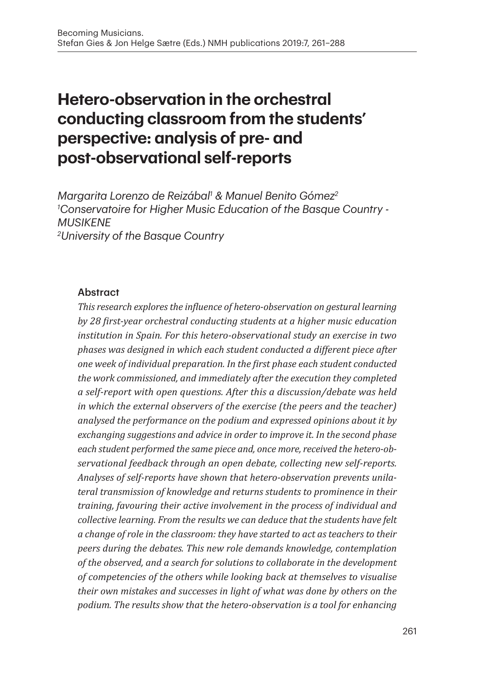# **Hetero-observation in the orchestral conducting classroom from the students' perspective: analysis of pre- and post-observational self-reports**

*Margarita Lorenzo de Reizábal1 & Manuel Benito Gómez2 1 Conservatoire for Higher Music Education of the Basque Country - MUSIKENE 2 University of the Basque Country*

#### Abstract

*This research explores the influence of hetero-observation on gestural learning by 28 first-year orchestral conducting students at a higher music education institution in Spain. For this hetero-observational study an exercise in two phases was designed in which each student conducted a different piece after one week of individual preparation. In the first phase each student conducted the work commissioned, and immediately after the execution they completed a self-report with open questions. After this a discussion/debate was held in which the external observers of the exercise (the peers and the teacher) analysed the performance on the podium and expressed opinions about it by exchanging suggestions and advice in order to improve it. In the second phase each student performed the same piece and, once more, received the hetero-observational feedback through an open debate, collecting new self-reports. Analyses of self-reports have shown that hetero-observation prevents unilateral transmission of knowledge and returns students to prominence in their training, favouring their active involvement in the process of individual and collective learning. From the results we can deduce that the students have felt a change of role in the classroom: they have started to act as teachers to their peers during the debates. This new role demands knowledge, contemplation of the observed, and a search for solutions to collaborate in the development of competencies of the others while looking back at themselves to visualise their own mistakes and successes in light of what was done by others on the podium. The results show that the hetero-observation is a tool for enhancing*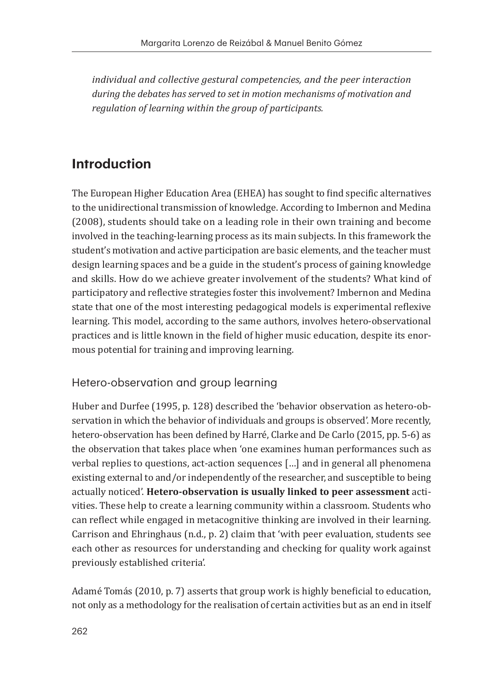*individual and collective gestural competencies, and the peer interaction during the debates has served to set in motion mechanisms of motivation and regulation of learning within the group of participants.*

## **Introduction**

The European Higher Education Area (EHEA) has sought to find specific alternatives to the unidirectional transmission of knowledge. According to Imbernon and Medina (2008), students should take on a leading role in their own training and become involved in the teaching-learning process as its main subjects. In this framework the student's motivation and active participation are basic elements, and the teacher must design learning spaces and be a guide in the student's process of gaining knowledge and skills. How do we achieve greater involvement of the students? What kind of participatory and reflective strategies foster this involvement? Imbernon and Medina state that one of the most interesting pedagogical models is experimental reflexive learning. This model, according to the same authors, involves hetero-observational practices and is little known in the field of higher music education, despite its enormous potential for training and improving learning.

#### Hetero-observation and group learning

Huber and Durfee (1995, p. 128) described the 'behavior observation as hetero-observation in which the behavior of individuals and groups is observed'. More recently, hetero-observation has been defined by Harré, Clarke and De Carlo (2015, pp. 5-6) as the observation that takes place when 'one examines human performances such as verbal replies to questions, act-action sequences […] and in general all phenomena existing external to and/or independently of the researcher, and susceptible to being actually noticed'. **Hetero-observation is usually linked to peer assessment** activities. These help to create a learning community within a classroom. Students who can reflect while engaged in metacognitive thinking are involved in their learning. Carrison and Ehringhaus (n.d., p. 2) claim that 'with peer evaluation, students see each other as resources for understanding and checking for quality work against previously established criteria'.

Adamé Tomás (2010, p. 7) asserts that group work is highly beneficial to education, not only as a methodology for the realisation of certain activities but as an end in itself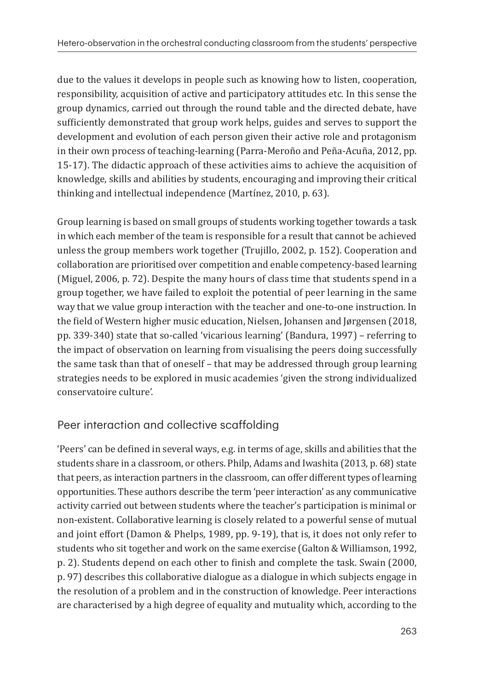due to the values it develops in people such as knowing how to listen, cooperation, responsibility, acquisition of active and participatory attitudes etc. In this sense the group dynamics, carried out through the round table and the directed debate, have sufficiently demonstrated that group work helps, guides and serves to support the development and evolution of each person given their active role and protagonism in their own process of teaching-learning (Parra-Meroño and Peña-Acuña, 2012, pp. 15-17). The didactic approach of these activities aims to achieve the acquisition of knowledge, skills and abilities by students, encouraging and improving their critical thinking and intellectual independence (Martínez, 2010, p. 63).

Group learning is based on small groups of students working together towards a task in which each member of the team is responsible for a result that cannot be achieved unless the group members work together (Trujillo, 2002, p. 152). Cooperation and collaboration are prioritised over competition and enable competency-based learning (Miguel, 2006, p. 72). Despite the many hours of class time that students spend in a group together, we have failed to exploit the potential of peer learning in the same way that we value group interaction with the teacher and one-to-one instruction. In the field of Western higher music education, Nielsen, Johansen and Jørgensen (2018, pp. 339-340) state that so-called 'vicarious learning' (Bandura, 1997) – referring to the impact of observation on learning from visualising the peers doing successfully the same task than that of oneself – that may be addressed through group learning strategies needs to be explored in music academies 'given the strong individualized conservatoire culture'.

#### Peer interaction and collective scaffolding

'Peers' can be defined in several ways, e.g. in terms of age, skills and abilities that the students share in a classroom, or others. Philp, Adams and Iwashita (2013, p. 68) state that peers, as interaction partners in the classroom, can offer different types of learning opportunities. These authors describe the term 'peer interaction' as any communicative activity carried out between students where the teacher's participation is minimal or non-existent. Collaborative learning is closely related to a powerful sense of mutual and joint effort (Damon & Phelps, 1989, pp. 9-19), that is, it does not only refer to students who sit together and work on the same exercise (Galton & Williamson, 1992, p. 2). Students depend on each other to finish and complete the task. Swain (2000, p. 97) describes this collaborative dialogue as a dialogue in which subjects engage in the resolution of a problem and in the construction of knowledge. Peer interactions are characterised by a high degree of equality and mutuality which, according to the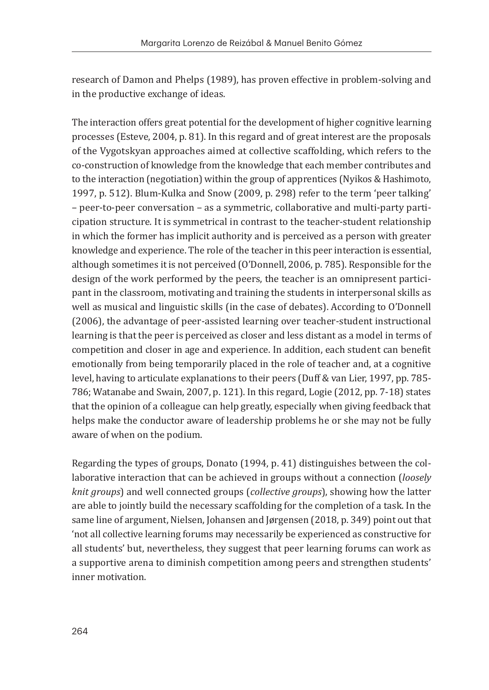research of Damon and Phelps (1989), has proven effective in problem-solving and in the productive exchange of ideas.

The interaction offers great potential for the development of higher cognitive learning processes (Esteve, 2004, p. 81). In this regard and of great interest are the proposals of the Vygotskyan approaches aimed at collective scaffolding, which refers to the co-construction of knowledge from the knowledge that each member contributes and to the interaction (negotiation) within the group of apprentices (Nyikos & Hashimoto, 1997, p. 512). Blum-Kulka and Snow (2009, p. 298) refer to the term 'peer talking' – peer-to-peer conversation – as a symmetric, collaborative and multi-party participation structure. It is symmetrical in contrast to the teacher-student relationship in which the former has implicit authority and is perceived as a person with greater knowledge and experience. The role of the teacher in this peer interaction is essential, although sometimes it is not perceived (O'Donnell, 2006, p. 785). Responsible for the design of the work performed by the peers, the teacher is an omnipresent participant in the classroom, motivating and training the students in interpersonal skills as well as musical and linguistic skills (in the case of debates). According to O'Donnell (2006), the advantage of peer-assisted learning over teacher-student instructional learning is that the peer is perceived as closer and less distant as a model in terms of competition and closer in age and experience. In addition, each student can benefit emotionally from being temporarily placed in the role of teacher and, at a cognitive level, having to articulate explanations to their peers (Duff & van Lier, 1997, pp. 785- 786; Watanabe and Swain, 2007, p. 121). In this regard, Logie (2012, pp. 7-18) states that the opinion of a colleague can help greatly, especially when giving feedback that helps make the conductor aware of leadership problems he or she may not be fully aware of when on the podium.

Regarding the types of groups, Donato (1994, p. 41) distinguishes between the collaborative interaction that can be achieved in groups without a connection (*loosely knit groups*) and well connected groups (*collective groups*), showing how the latter are able to jointly build the necessary scaffolding for the completion of a task. In the same line of argument, Nielsen, Johansen and Jørgensen (2018, p. 349) point out that 'not all collective learning forums may necessarily be experienced as constructive for all students' but, nevertheless, they suggest that peer learning forums can work as a supportive arena to diminish competition among peers and strengthen students' inner motivation.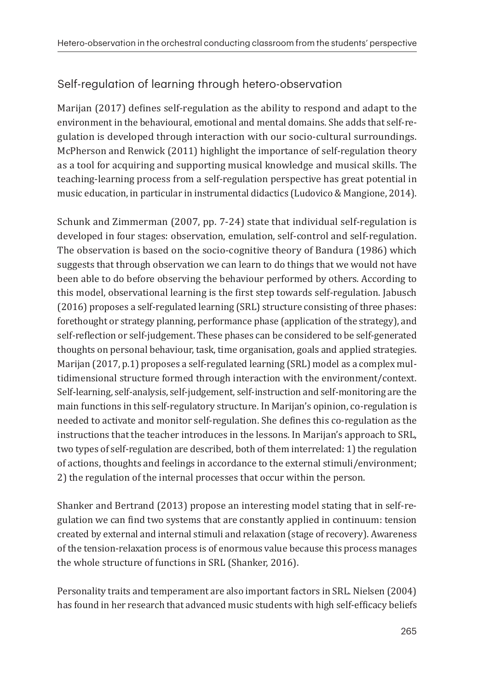#### Self-regulation of learning through hetero-observation

Marijan (2017) defines self-regulation as the ability to respond and adapt to the environment in the behavioural, emotional and mental domains. She adds that self-regulation is developed through interaction with our socio-cultural surroundings. McPherson and Renwick (2011) highlight the importance of self-regulation theory as a tool for acquiring and supporting musical knowledge and musical skills. The teaching-learning process from a self-regulation perspective has great potential in music education, in particular in instrumental didactics (Ludovico & Mangione, 2014).

Schunk and Zimmerman (2007, pp. 7-24) state that individual self-regulation is developed in four stages: observation, emulation, self-control and self-regulation. The observation is based on the socio-cognitive theory of Bandura (1986) which suggests that through observation we can learn to do things that we would not have been able to do before observing the behaviour performed by others. According to this model, observational learning is the first step towards self-regulation. Jabusch (2016) proposes a self-regulated learning (SRL) structure consisting of three phases: forethought or strategy planning, performance phase (application of the strategy), and self-reflection or self-judgement. These phases can be considered to be self-generated thoughts on personal behaviour, task, time organisation, goals and applied strategies. Marijan (2017, p.1) proposes a self-regulated learning (SRL) model as a complex multidimensional structure formed through interaction with the environment/context. Self-learning, self-analysis, self-judgement, self-instruction and self-monitoring are the main functions in this self-regulatory structure. In Marijan's opinion, co-regulation is needed to activate and monitor self-regulation. She defines this co-regulation as the instructions that the teacher introduces in the lessons. In Marijan's approach to SRL, two types of self-regulation are described, both of them interrelated: 1) the regulation of actions, thoughts and feelings in accordance to the external stimuli/environment; 2) the regulation of the internal processes that occur within the person.

Shanker and Bertrand (2013) propose an interesting model stating that in self-regulation we can find two systems that are constantly applied in continuum: tension created by external and internal stimuli and relaxation (stage of recovery). Awareness of the tension-relaxation process is of enormous value because this process manages the whole structure of functions in SRL (Shanker, 2016).

Personality traits and temperament are also important factors in SRL. Nielsen (2004) has found in her research that advanced music students with high self-efficacy beliefs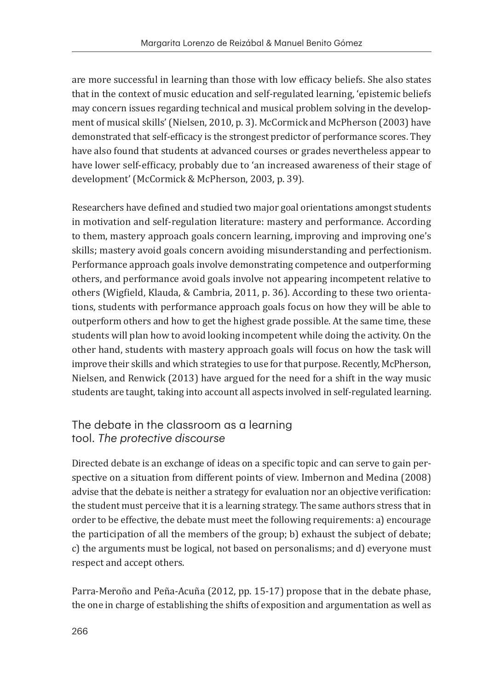are more successful in learning than those with low efficacy beliefs. She also states that in the context of music education and self-regulated learning, 'epistemic beliefs may concern issues regarding technical and musical problem solving in the development of musical skills' (Nielsen, 2010, p. 3). McCormick and McPherson (2003) have demonstrated that self-efficacy is the strongest predictor of performance scores. They have also found that students at advanced courses or grades nevertheless appear to have lower self-efficacy, probably due to 'an increased awareness of their stage of development' (McCormick & McPherson, 2003, p. 39).

Researchers have defined and studied two major goal orientations amongst students in motivation and self-regulation literature: mastery and performance. According to them, mastery approach goals concern learning, improving and improving one's skills; mastery avoid goals concern avoiding misunderstanding and perfectionism. Performance approach goals involve demonstrating competence and outperforming others, and performance avoid goals involve not appearing incompetent relative to others (Wigfield, Klauda, & Cambria, 2011, p. 36). According to these two orientations, students with performance approach goals focus on how they will be able to outperform others and how to get the highest grade possible. At the same time, these students will plan how to avoid looking incompetent while doing the activity. On the other hand, students with mastery approach goals will focus on how the task will improve their skills and which strategies to use for that purpose. Recently, McPherson, Nielsen, and Renwick (2013) have argued for the need for a shift in the way music students are taught, taking into account all aspects involved in self-regulated learning.

#### The debate in the classroom as a learning tool. *The protective discourse*

Directed debate is an exchange of ideas on a specific topic and can serve to gain perspective on a situation from different points of view. Imbernon and Medina (2008) advise that the debate is neither a strategy for evaluation nor an objective verification: the student must perceive that it is a learning strategy. The same authors stress that in order to be effective, the debate must meet the following requirements: a) encourage the participation of all the members of the group; b) exhaust the subject of debate; c) the arguments must be logical, not based on personalisms; and d) everyone must respect and accept others.

Parra-Meroño and Peña-Acuña (2012, pp. 15-17) propose that in the debate phase, the one in charge of establishing the shifts of exposition and argumentation as well as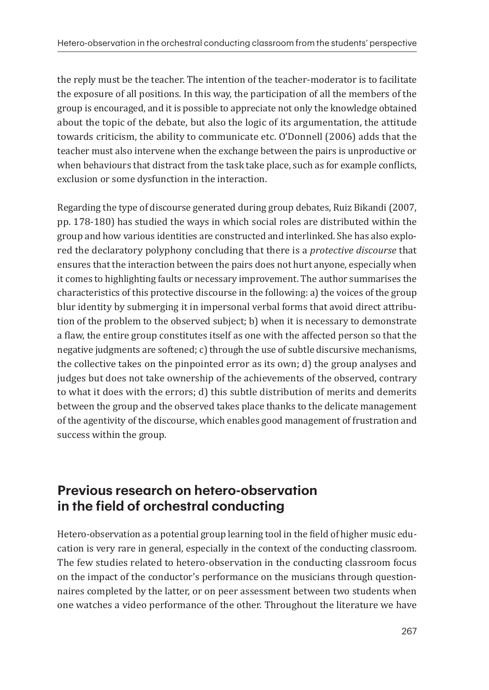the reply must be the teacher. The intention of the teacher-moderator is to facilitate the exposure of all positions. In this way, the participation of all the members of the group is encouraged, and it is possible to appreciate not only the knowledge obtained about the topic of the debate, but also the logic of its argumentation, the attitude towards criticism, the ability to communicate etc. O'Donnell (2006) adds that the teacher must also intervene when the exchange between the pairs is unproductive or when behaviours that distract from the task take place, such as for example conflicts, exclusion or some dysfunction in the interaction.

Regarding the type of discourse generated during group debates, Ruiz Bikandi (2007, pp. 178-180) has studied the ways in which social roles are distributed within the group and how various identities are constructed and interlinked. She has also explored the declaratory polyphony concluding that there is a *protective discourse* that ensures that the interaction between the pairs does not hurt anyone, especially when it comes to highlighting faults or necessary improvement. The author summarises the characteristics of this protective discourse in the following: a) the voices of the group blur identity by submerging it in impersonal verbal forms that avoid direct attribution of the problem to the observed subject; b) when it is necessary to demonstrate a flaw, the entire group constitutes itself as one with the affected person so that the negative judgments are softened; c) through the use of subtle discursive mechanisms, the collective takes on the pinpointed error as its own; d) the group analyses and judges but does not take ownership of the achievements of the observed, contrary to what it does with the errors; d) this subtle distribution of merits and demerits between the group and the observed takes place thanks to the delicate management of the agentivity of the discourse, which enables good management of frustration and success within the group.

### **Previous research on hetero-observation in the field of orchestral conducting**

Hetero-observation as a potential group learning tool in the field of higher music education is very rare in general, especially in the context of the conducting classroom. The few studies related to hetero-observation in the conducting classroom focus on the impact of the conductor's performance on the musicians through questionnaires completed by the latter, or on peer assessment between two students when one watches a video performance of the other. Throughout the literature we have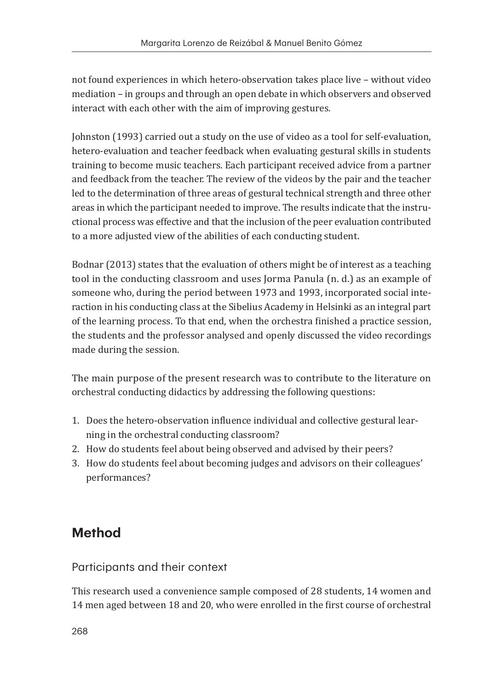not found experiences in which hetero-observation takes place live – without video mediation – in groups and through an open debate in which observers and observed interact with each other with the aim of improving gestures.

Johnston (1993) carried out a study on the use of video as a tool for self-evaluation, hetero-evaluation and teacher feedback when evaluating gestural skills in students training to become music teachers. Each participant received advice from a partner and feedback from the teacher. The review of the videos by the pair and the teacher led to the determination of three areas of gestural technical strength and three other areas in which the participant needed to improve. The results indicate that the instructional process was effective and that the inclusion of the peer evaluation contributed to a more adjusted view of the abilities of each conducting student.

Bodnar (2013) states that the evaluation of others might be of interest as a teaching tool in the conducting classroom and uses Jorma Panula (n. d.) as an example of someone who, during the period between 1973 and 1993, incorporated social interaction in his conducting class at the Sibelius Academy in Helsinki as an integral part of the learning process. To that end, when the orchestra finished a practice session, the students and the professor analysed and openly discussed the video recordings made during the session.

The main purpose of the present research was to contribute to the literature on orchestral conducting didactics by addressing the following questions:

- 1. Does the hetero-observation influence individual and collective gestural learning in the orchestral conducting classroom?
- 2. How do students feel about being observed and advised by their peers?
- 3. How do students feel about becoming judges and advisors on their colleagues' performances?

## **Method**

Participants and their context

This research used a convenience sample composed of 28 students, 14 women and 14 men aged between 18 and 20, who were enrolled in the first course of orchestral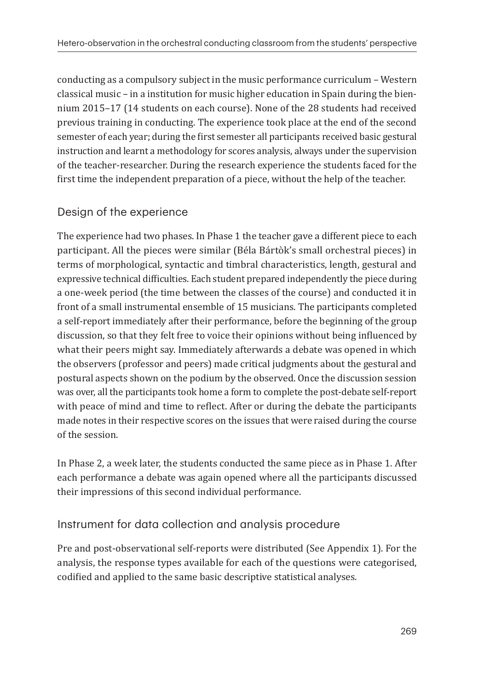conducting as a compulsory subject in the music performance curriculum – Western classical music – in a institution for music higher education in Spain during the biennium 2015–17 (14 students on each course). None of the 28 students had received previous training in conducting. The experience took place at the end of the second semester of each year; during the first semester all participants received basic gestural instruction and learnt a methodology for scores analysis, always under the supervision of the teacher-researcher. During the research experience the students faced for the first time the independent preparation of a piece, without the help of the teacher.

#### Design of the experience

The experience had two phases. In Phase 1 the teacher gave a different piece to each participant. All the pieces were similar (Béla Bártòk's small orchestral pieces) in terms of morphological, syntactic and timbral characteristics, length, gestural and expressive technical difficulties. Each student prepared independently the piece during a one-week period (the time between the classes of the course) and conducted it in front of a small instrumental ensemble of 15 musicians. The participants completed a self-report immediately after their performance, before the beginning of the group discussion, so that they felt free to voice their opinions without being influenced by what their peers might say. Immediately afterwards a debate was opened in which the observers (professor and peers) made critical judgments about the gestural and postural aspects shown on the podium by the observed. Once the discussion session was over, all the participants took home a form to complete the post-debate self-report with peace of mind and time to reflect. After or during the debate the participants made notes in their respective scores on the issues that were raised during the course of the session.

In Phase 2, a week later, the students conducted the same piece as in Phase 1. After each performance a debate was again opened where all the participants discussed their impressions of this second individual performance.

#### Instrument for data collection and analysis procedure

Pre and post-observational self-reports were distributed (See Appendix 1). For the analysis, the response types available for each of the questions were categorised, codified and applied to the same basic descriptive statistical analyses.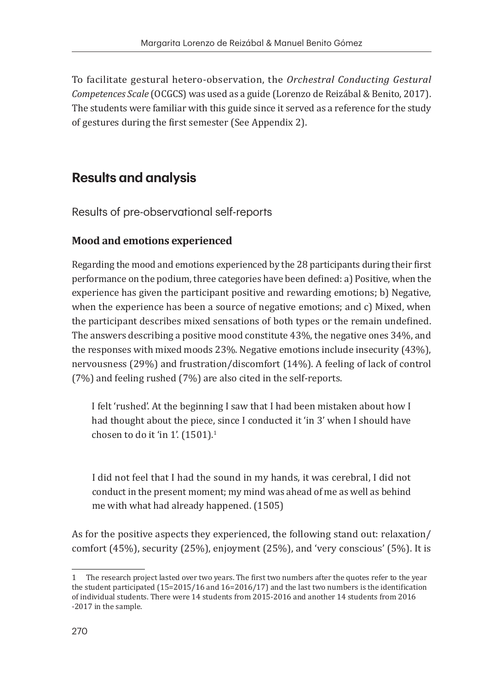To facilitate gestural hetero-observation, the *Orchestral Conducting Gestural Competences Scale* (OCGCS) was used as a guide (Lorenzo de Reizábal & Benito, 2017). The students were familiar with this guide since it served as a reference for the study of gestures during the first semester (See Appendix 2).

### **Results and analysis**

Results of pre-observational self-reports

#### **Mood and emotions experienced**

Regarding the mood and emotions experienced by the 28 participants during their first performance on the podium, three categories have been defined: a) Positive, when the experience has given the participant positive and rewarding emotions; b) Negative, when the experience has been a source of negative emotions; and c) Mixed, when the participant describes mixed sensations of both types or the remain undefined. The answers describing a positive mood constitute 43%, the negative ones 34%, and the responses with mixed moods 23%. Negative emotions include insecurity (43%), nervousness (29%) and frustration/discomfort (14%). A feeling of lack of control (7%) and feeling rushed (7%) are also cited in the self-reports.

I felt 'rushed'. At the beginning I saw that I had been mistaken about how I had thought about the piece, since I conducted it 'in 3' when I should have chosen to do it 'in 1'.  $(1501)^{1}$ 

I did not feel that I had the sound in my hands, it was cerebral, I did not conduct in the present moment; my mind was ahead of me as well as behind me with what had already happened. (1505)

As for the positive aspects they experienced, the following stand out: relaxation/ comfort (45%), security (25%), enjoyment (25%), and 'very conscious' (5%). It is

<sup>1</sup> The research project lasted over two years. The first two numbers after the quotes refer to the year the student participated (15=2015/16 and 16=2016/17) and the last two numbers is the identification of individual students. There were 14 students from 2015-2016 and another 14 students from 2016 -2017 in the sample.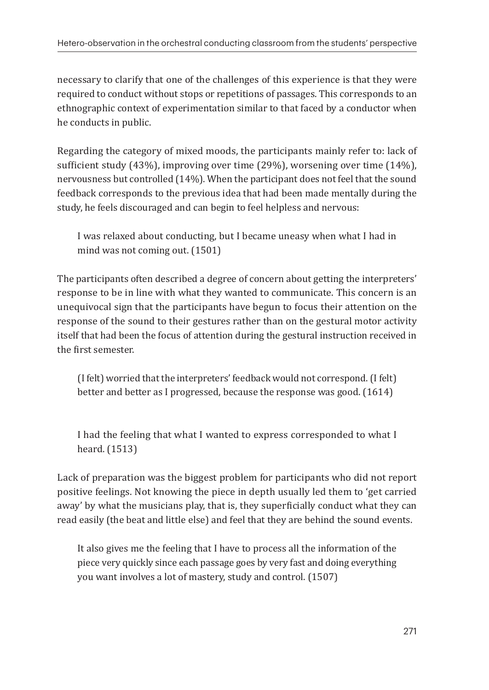necessary to clarify that one of the challenges of this experience is that they were required to conduct without stops or repetitions of passages. This corresponds to an ethnographic context of experimentation similar to that faced by a conductor when he conducts in public.

Regarding the category of mixed moods, the participants mainly refer to: lack of sufficient study (43%), improving over time (29%), worsening over time (14%), nervousness but controlled (14%). When the participant does not feel that the sound feedback corresponds to the previous idea that had been made mentally during the study, he feels discouraged and can begin to feel helpless and nervous:

I was relaxed about conducting, but I became uneasy when what I had in mind was not coming out. (1501)

The participants often described a degree of concern about getting the interpreters' response to be in line with what they wanted to communicate. This concern is an unequivocal sign that the participants have begun to focus their attention on the response of the sound to their gestures rather than on the gestural motor activity itself that had been the focus of attention during the gestural instruction received in the first semester.

(I felt) worried that the interpreters' feedback would not correspond. (I felt) better and better as I progressed, because the response was good. (1614)

I had the feeling that what I wanted to express corresponded to what I heard. (1513)

Lack of preparation was the biggest problem for participants who did not report positive feelings. Not knowing the piece in depth usually led them to 'get carried away' by what the musicians play, that is, they superficially conduct what they can read easily (the beat and little else) and feel that they are behind the sound events.

It also gives me the feeling that I have to process all the information of the piece very quickly since each passage goes by very fast and doing everything you want involves a lot of mastery, study and control. (1507)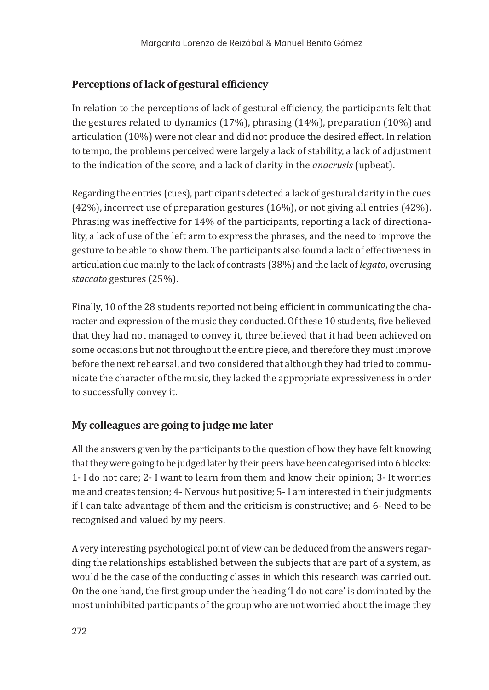#### **Perceptions of lack of gestural efficiency**

In relation to the perceptions of lack of gestural efficiency, the participants felt that the gestures related to dynamics (17%), phrasing (14%), preparation (10%) and articulation (10%) were not clear and did not produce the desired effect. In relation to tempo, the problems perceived were largely a lack of stability, a lack of adjustment to the indication of the score, and a lack of clarity in the *anacrusis* (upbeat).

Regarding the entries (cues), participants detected a lack of gestural clarity in the cues (42%), incorrect use of preparation gestures (16%), or not giving all entries (42%). Phrasing was ineffective for 14% of the participants, reporting a lack of directionality, a lack of use of the left arm to express the phrases, and the need to improve the gesture to be able to show them. The participants also found a lack of effectiveness in articulation due mainly to the lack of contrasts (38%) and the lack of *legato*, overusing *staccato* gestures (25%).

Finally, 10 of the 28 students reported not being efficient in communicating the character and expression of the music they conducted. Of these 10 students, five believed that they had not managed to convey it, three believed that it had been achieved on some occasions but not throughout the entire piece, and therefore they must improve before the next rehearsal, and two considered that although they had tried to communicate the character of the music, they lacked the appropriate expressiveness in order to successfully convey it.

#### **My colleagues are going to judge me later**

All the answers given by the participants to the question of how they have felt knowing that they were going to be judged later by their peers have been categorised into 6 blocks: 1- I do not care; 2- I want to learn from them and know their opinion; 3- It worries me and creates tension; 4- Nervous but positive; 5- I am interested in their judgments if I can take advantage of them and the criticism is constructive; and 6- Need to be recognised and valued by my peers.

A very interesting psychological point of view can be deduced from the answers regarding the relationships established between the subjects that are part of a system, as would be the case of the conducting classes in which this research was carried out. On the one hand, the first group under the heading 'I do not care' is dominated by the most uninhibited participants of the group who are not worried about the image they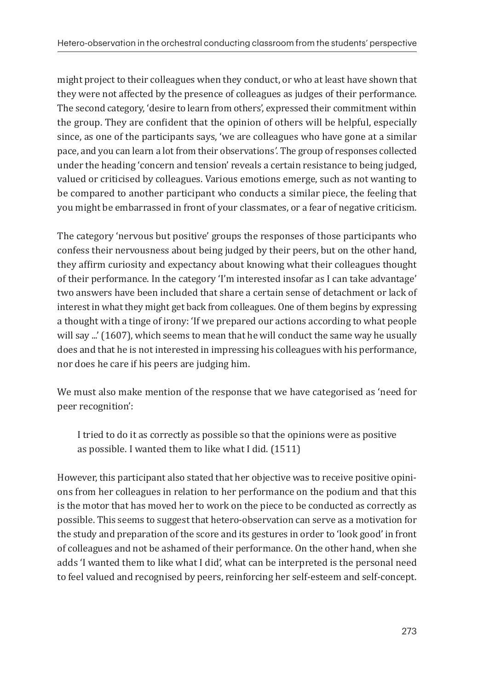might project to their colleagues when they conduct, or who at least have shown that they were not affected by the presence of colleagues as judges of their performance. The second category, 'desire to learn from others', expressed their commitment within the group. They are confident that the opinion of others will be helpful, especially since, as one of the participants says, 'we are colleagues who have gone at a similar pace, and you can learn a lot from their observations*'*. The group of responses collected under the heading 'concern and tension' reveals a certain resistance to being judged, valued or criticised by colleagues. Various emotions emerge, such as not wanting to be compared to another participant who conducts a similar piece, the feeling that you might be embarrassed in front of your classmates, or a fear of negative criticism.

The category 'nervous but positive' groups the responses of those participants who confess their nervousness about being judged by their peers, but on the other hand, they affirm curiosity and expectancy about knowing what their colleagues thought of their performance. In the category 'I'm interested insofar as I can take advantage' two answers have been included that share a certain sense of detachment or lack of interest in what they might get back from colleagues. One of them begins by expressing a thought with a tinge of irony: 'If we prepared our actions according to what people will say ...' (1607), which seems to mean that he will conduct the same way he usually does and that he is not interested in impressing his colleagues with his performance, nor does he care if his peers are judging him.

We must also make mention of the response that we have categorised as 'need for peer recognition':

I tried to do it as correctly as possible so that the opinions were as positive as possible. I wanted them to like what I did. (1511)

However, this participant also stated that her objective was to receive positive opinions from her colleagues in relation to her performance on the podium and that this is the motor that has moved her to work on the piece to be conducted as correctly as possible. This seems to suggest that hetero-observation can serve as a motivation for the study and preparation of the score and its gestures in order to 'look good' in front of colleagues and not be ashamed of their performance. On the other hand, when she adds 'I wanted them to like what I did', what can be interpreted is the personal need to feel valued and recognised by peers, reinforcing her self-esteem and self-concept.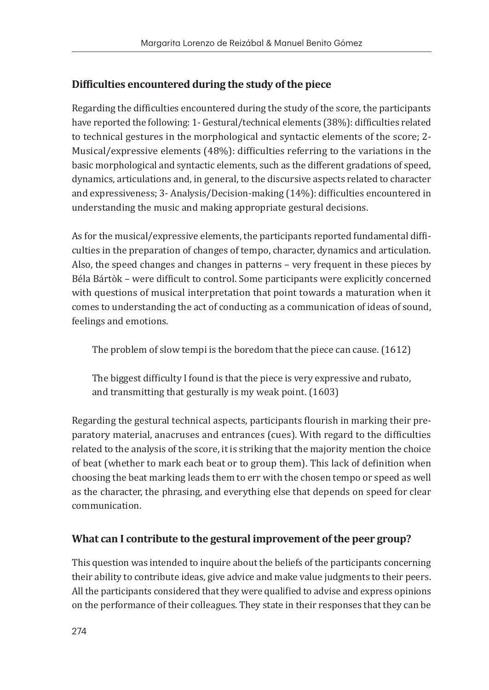#### **Difficulties encountered during the study of the piece**

Regarding the difficulties encountered during the study of the score, the participants have reported the following: 1- Gestural/technical elements (38%): difficulties related to technical gestures in the morphological and syntactic elements of the score; 2- Musical/expressive elements (48%): difficulties referring to the variations in the basic morphological and syntactic elements, such as the different gradations of speed, dynamics, articulations and, in general, to the discursive aspects related to character and expressiveness; 3- Analysis/Decision-making (14%): difficulties encountered in understanding the music and making appropriate gestural decisions.

As for the musical/expressive elements, the participants reported fundamental difficulties in the preparation of changes of tempo, character, dynamics and articulation. Also, the speed changes and changes in patterns – very frequent in these pieces by Béla Bártòk – were difficult to control. Some participants were explicitly concerned with questions of musical interpretation that point towards a maturation when it comes to understanding the act of conducting as a communication of ideas of sound, feelings and emotions.

The problem of slow tempi is the boredom that the piece can cause. (1612)

The biggest difficulty I found is that the piece is very expressive and rubato, and transmitting that gesturally is my weak point. (1603)

Regarding the gestural technical aspects, participants flourish in marking their preparatory material, anacruses and entrances (cues). With regard to the difficulties related to the analysis of the score, it is striking that the majority mention the choice of beat (whether to mark each beat or to group them). This lack of definition when choosing the beat marking leads them to err with the chosen tempo or speed as well as the character, the phrasing, and everything else that depends on speed for clear communication.

#### **What can I contribute to the gestural improvement of the peer group?**

This question was intended to inquire about the beliefs of the participants concerning their ability to contribute ideas, give advice and make value judgments to their peers. All the participants considered that they were qualified to advise and express opinions on the performance of their colleagues. They state in their responses that they can be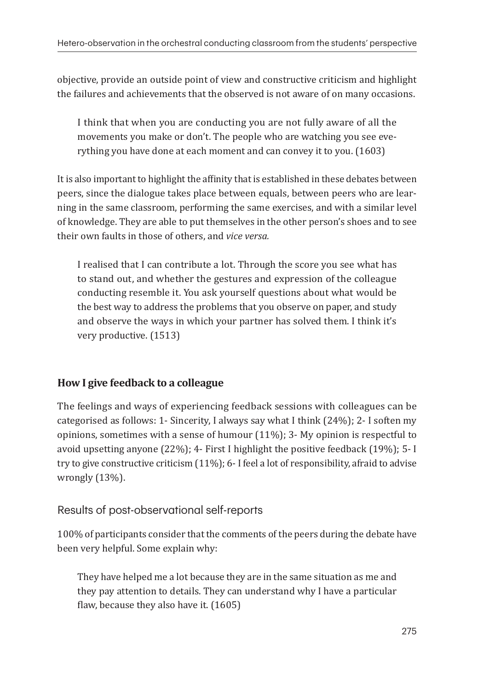objective, provide an outside point of view and constructive criticism and highlight the failures and achievements that the observed is not aware of on many occasions.

I think that when you are conducting you are not fully aware of all the movements you make or don't. The people who are watching you see everything you have done at each moment and can convey it to you. (1603)

It is also important to highlight the affinity that is established in these debates between peers, since the dialogue takes place between equals, between peers who are learning in the same classroom, performing the same exercises, and with a similar level of knowledge. They are able to put themselves in the other person's shoes and to see their own faults in those of others, and *vice versa.*

I realised that I can contribute a lot. Through the score you see what has to stand out, and whether the gestures and expression of the colleague conducting resemble it. You ask yourself questions about what would be the best way to address the problems that you observe on paper, and study and observe the ways in which your partner has solved them. I think it's very productive. (1513)

#### **How I give feedback to a colleague**

The feelings and ways of experiencing feedback sessions with colleagues can be categorised as follows: 1- Sincerity, I always say what I think (24%); 2- I soften my opinions, sometimes with a sense of humour  $(11\%)$ ; 3- My opinion is respectful to avoid upsetting anyone (22%); 4- First I highlight the positive feedback (19%); 5- I try to give constructive criticism (11%); 6- I feel a lot of responsibility, afraid to advise wrongly (13%).

#### Results of post-observational self-reports

100% of participants consider that the comments of the peers during the debate have been very helpful. Some explain why:

They have helped me a lot because they are in the same situation as me and they pay attention to details. They can understand why I have a particular flaw, because they also have it. (1605)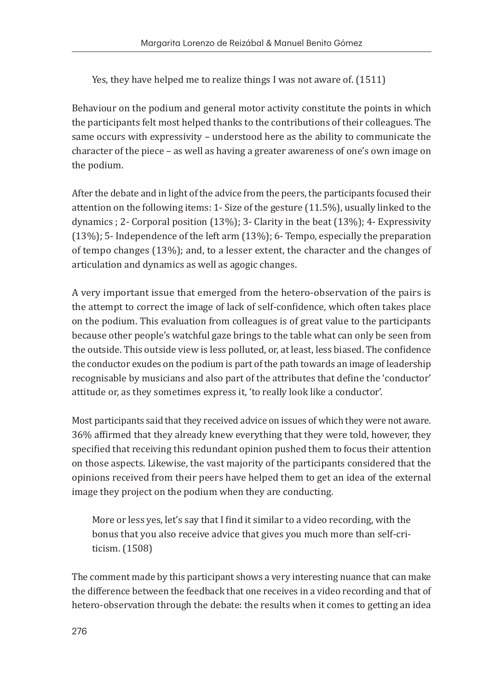Yes, they have helped me to realize things I was not aware of. (1511)

Behaviour on the podium and general motor activity constitute the points in which the participants felt most helped thanks to the contributions of their colleagues. The same occurs with expressivity – understood here as the ability to communicate the character of the piece – as well as having a greater awareness of one's own image on the podium.

After the debate and in light of the advice from the peers, the participants focused their attention on the following items: 1- Size of the gesture (11.5%), usually linked to the dynamics ; 2- Corporal position (13%); 3- Clarity in the beat (13%); 4- Expressivity (13%); 5- Independence of the left arm (13%); 6- Tempo, especially the preparation of tempo changes (13%); and, to a lesser extent, the character and the changes of articulation and dynamics as well as agogic changes.

A very important issue that emerged from the hetero-observation of the pairs is the attempt to correct the image of lack of self-confidence, which often takes place on the podium. This evaluation from colleagues is of great value to the participants because other people's watchful gaze brings to the table what can only be seen from the outside. This outside view is less polluted, or, at least, less biased. The confidence the conductor exudes on the podium is part of the path towards an image of leadership recognisable by musicians and also part of the attributes that define the 'conductor' attitude or, as they sometimes express it, 'to really look like a conductor'.

Most participants said that they received advice on issues of which they were not aware. 36% affirmed that they already knew everything that they were told, however, they specified that receiving this redundant opinion pushed them to focus their attention on those aspects. Likewise, the vast majority of the participants considered that the opinions received from their peers have helped them to get an idea of the external image they project on the podium when they are conducting.

More or less yes, let's say that I find it similar to a video recording, with the bonus that you also receive advice that gives you much more than self-criticism. (1508)

The comment made by this participant shows a very interesting nuance that can make the difference between the feedback that one receives in a video recording and that of hetero-observation through the debate: the results when it comes to getting an idea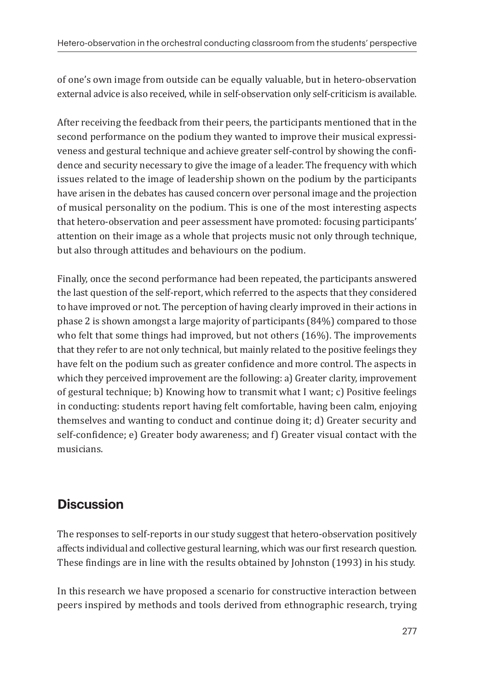of one's own image from outside can be equally valuable, but in hetero-observation external advice is also received, while in self-observation only self-criticism is available.

After receiving the feedback from their peers, the participants mentioned that in the second performance on the podium they wanted to improve their musical expressiveness and gestural technique and achieve greater self-control by showing the confidence and security necessary to give the image of a leader. The frequency with which issues related to the image of leadership shown on the podium by the participants have arisen in the debates has caused concern over personal image and the projection of musical personality on the podium. This is one of the most interesting aspects that hetero-observation and peer assessment have promoted: focusing participants' attention on their image as a whole that projects music not only through technique, but also through attitudes and behaviours on the podium.

Finally, once the second performance had been repeated, the participants answered the last question of the self-report, which referred to the aspects that they considered to have improved or not. The perception of having clearly improved in their actions in phase 2 is shown amongst a large majority of participants (84%) compared to those who felt that some things had improved, but not others (16%). The improvements that they refer to are not only technical, but mainly related to the positive feelings they have felt on the podium such as greater confidence and more control. The aspects in which they perceived improvement are the following: a) Greater clarity, improvement of gestural technique; b) Knowing how to transmit what I want; c) Positive feelings in conducting: students report having felt comfortable, having been calm, enjoying themselves and wanting to conduct and continue doing it; d) Greater security and self-confidence; e) Greater body awareness; and f) Greater visual contact with the musicians.

## **Discussion**

The responses to self-reports in our study suggest that hetero-observation positively affects individual and collective gestural learning, which was our first research question. These findings are in line with the results obtained by Johnston (1993) in his study.

In this research we have proposed a scenario for constructive interaction between peers inspired by methods and tools derived from ethnographic research, trying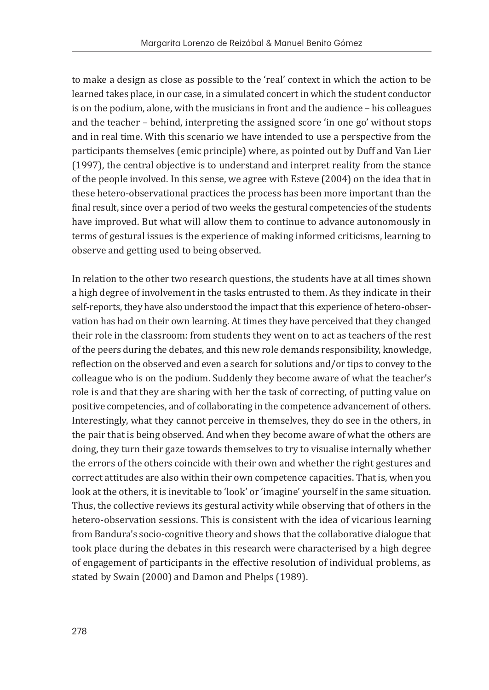to make a design as close as possible to the 'real' context in which the action to be learned takes place, in our case, in a simulated concert in which the student conductor is on the podium, alone, with the musicians in front and the audience – his colleagues and the teacher – behind, interpreting the assigned score 'in one go' without stops and in real time. With this scenario we have intended to use a perspective from the participants themselves (emic principle) where, as pointed out by Duff and Van Lier (1997), the central objective is to understand and interpret reality from the stance of the people involved. In this sense, we agree with Esteve (2004) on the idea that in these hetero-observational practices the process has been more important than the final result, since over a period of two weeks the gestural competencies of the students have improved. But what will allow them to continue to advance autonomously in terms of gestural issues is the experience of making informed criticisms, learning to observe and getting used to being observed.

In relation to the other two research questions, the students have at all times shown a high degree of involvement in the tasks entrusted to them. As they indicate in their self-reports, they have also understood the impact that this experience of hetero-observation has had on their own learning. At times they have perceived that they changed their role in the classroom: from students they went on to act as teachers of the rest of the peers during the debates, and this new role demands responsibility, knowledge, reflection on the observed and even a search for solutions and/or tips to convey to the colleague who is on the podium. Suddenly they become aware of what the teacher's role is and that they are sharing with her the task of correcting, of putting value on positive competencies, and of collaborating in the competence advancement of others. Interestingly, what they cannot perceive in themselves, they do see in the others, in the pair that is being observed. And when they become aware of what the others are doing, they turn their gaze towards themselves to try to visualise internally whether the errors of the others coincide with their own and whether the right gestures and correct attitudes are also within their own competence capacities. That is, when you look at the others, it is inevitable to 'look' or 'imagine' yourself in the same situation. Thus, the collective reviews its gestural activity while observing that of others in the hetero-observation sessions. This is consistent with the idea of vicarious learning from Bandura's socio-cognitive theory and shows that the collaborative dialogue that took place during the debates in this research were characterised by a high degree of engagement of participants in the effective resolution of individual problems, as stated by Swain (2000) and Damon and Phelps (1989).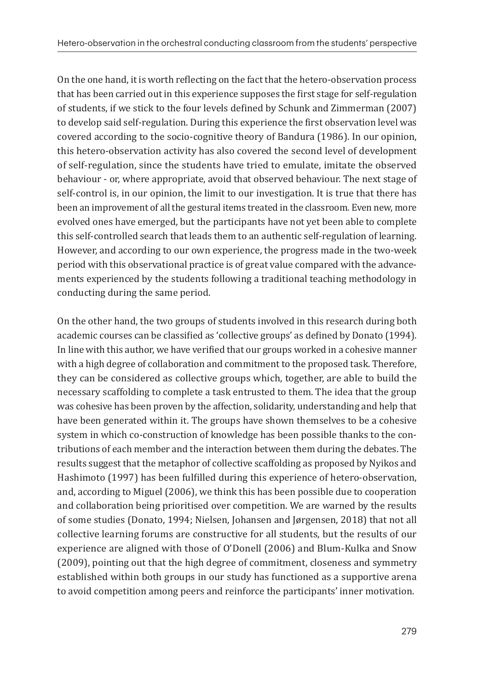On the one hand, it is worth reflecting on the fact that the hetero-observation process that has been carried out in this experience supposes the first stage for self-regulation of students, if we stick to the four levels defined by Schunk and Zimmerman (2007) to develop said self-regulation. During this experience the first observation level was covered according to the socio-cognitive theory of Bandura (1986). In our opinion, this hetero-observation activity has also covered the second level of development of self-regulation, since the students have tried to emulate, imitate the observed behaviour - or, where appropriate, avoid that observed behaviour. The next stage of self-control is, in our opinion, the limit to our investigation. It is true that there has been an improvement of all the gestural items treated in the classroom. Even new, more evolved ones have emerged, but the participants have not yet been able to complete this self-controlled search that leads them to an authentic self-regulation of learning. However, and according to our own experience, the progress made in the two-week period with this observational practice is of great value compared with the advancements experienced by the students following a traditional teaching methodology in conducting during the same period.

On the other hand, the two groups of students involved in this research during both academic courses can be classified as 'collective groups' as defined by Donato (1994). In line with this author, we have verified that our groups worked in a cohesive manner with a high degree of collaboration and commitment to the proposed task. Therefore, they can be considered as collective groups which, together, are able to build the necessary scaffolding to complete a task entrusted to them. The idea that the group was cohesive has been proven by the affection, solidarity, understanding and help that have been generated within it. The groups have shown themselves to be a cohesive system in which co-construction of knowledge has been possible thanks to the contributions of each member and the interaction between them during the debates. The results suggest that the metaphor of collective scaffolding as proposed by Nyikos and Hashimoto (1997) has been fulfilled during this experience of hetero-observation, and, according to Miguel (2006), we think this has been possible due to cooperation and collaboration being prioritised over competition. We are warned by the results of some studies (Donato, 1994; Nielsen, Johansen and Jørgensen, 2018) that not all collective learning forums are constructive for all students, but the results of our experience are aligned with those of O'Donell (2006) and Blum-Kulka and Snow (2009), pointing out that the high degree of commitment, closeness and symmetry established within both groups in our study has functioned as a supportive arena to avoid competition among peers and reinforce the participants' inner motivation.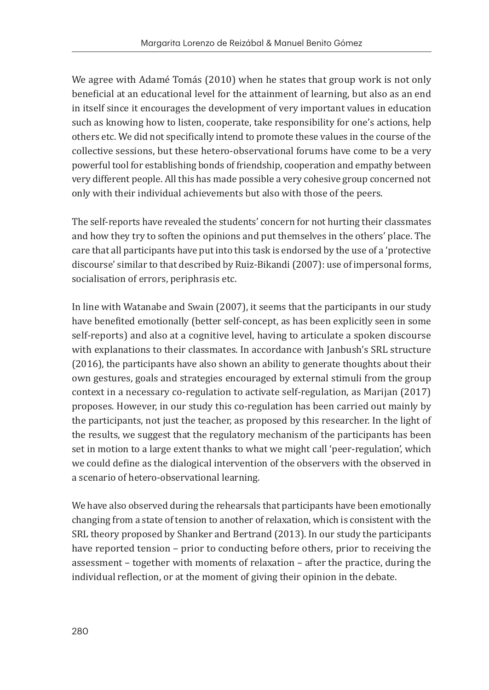We agree with Adamé Tomás (2010) when he states that group work is not only beneficial at an educational level for the attainment of learning, but also as an end in itself since it encourages the development of very important values in education such as knowing how to listen, cooperate, take responsibility for one's actions, help others etc. We did not specifically intend to promote these values in the course of the collective sessions, but these hetero-observational forums have come to be a very powerful tool for establishing bonds of friendship, cooperation and empathy between very different people. All this has made possible a very cohesive group concerned not only with their individual achievements but also with those of the peers.

The self-reports have revealed the students' concern for not hurting their classmates and how they try to soften the opinions and put themselves in the others' place. The care that all participants have put into this task is endorsed by the use of a 'protective discourse' similar to that described by Ruiz-Bikandi (2007): use of impersonal forms, socialisation of errors, periphrasis etc.

In line with Watanabe and Swain (2007), it seems that the participants in our study have benefited emotionally (better self-concept, as has been explicitly seen in some self-reports) and also at a cognitive level, having to articulate a spoken discourse with explanations to their classmates. In accordance with Janbush's SRL structure (2016), the participants have also shown an ability to generate thoughts about their own gestures, goals and strategies encouraged by external stimuli from the group context in a necessary co-regulation to activate self-regulation, as Marijan (2017) proposes. However, in our study this co-regulation has been carried out mainly by the participants, not just the teacher, as proposed by this researcher. In the light of the results, we suggest that the regulatory mechanism of the participants has been set in motion to a large extent thanks to what we might call 'peer-regulation', which we could define as the dialogical intervention of the observers with the observed in a scenario of hetero-observational learning.

We have also observed during the rehearsals that participants have been emotionally changing from a state of tension to another of relaxation, which is consistent with the SRL theory proposed by Shanker and Bertrand (2013). In our study the participants have reported tension – prior to conducting before others, prior to receiving the assessment – together with moments of relaxation – after the practice, during the individual reflection, or at the moment of giving their opinion in the debate.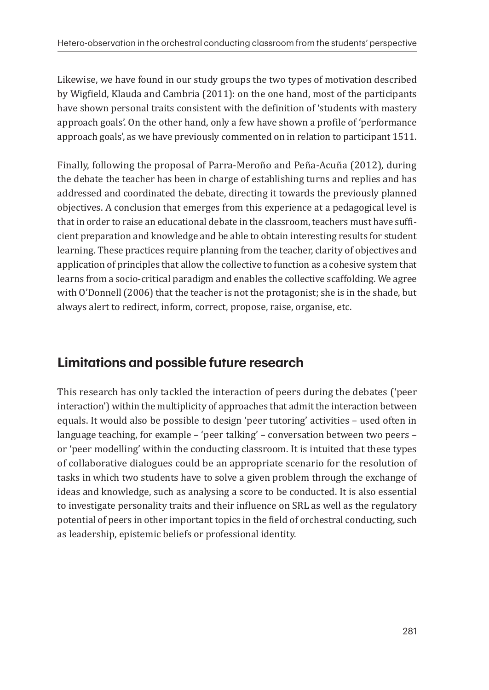Likewise, we have found in our study groups the two types of motivation described by Wigfield, Klauda and Cambria (2011): on the one hand, most of the participants have shown personal traits consistent with the definition of 'students with mastery approach goals'. On the other hand, only a few have shown a profile of 'performance approach goals', as we have previously commented on in relation to participant 1511.

Finally, following the proposal of Parra-Meroño and Peña-Acuña (2012), during the debate the teacher has been in charge of establishing turns and replies and has addressed and coordinated the debate, directing it towards the previously planned objectives. A conclusion that emerges from this experience at a pedagogical level is that in order to raise an educational debate in the classroom, teachers must have sufficient preparation and knowledge and be able to obtain interesting results for student learning. These practices require planning from the teacher, clarity of objectives and application of principles that allow the collective to function as a cohesive system that learns from a socio-critical paradigm and enables the collective scaffolding. We agree with O'Donnell (2006) that the teacher is not the protagonist; she is in the shade, but always alert to redirect, inform, correct, propose, raise, organise, etc.

## **Limitations and possible future research**

This research has only tackled the interaction of peers during the debates ('peer interaction') within the multiplicity of approaches that admit the interaction between equals. It would also be possible to design 'peer tutoring' activities – used often in language teaching, for example – 'peer talking' – conversation between two peers – or 'peer modelling' within the conducting classroom. It is intuited that these types of collaborative dialogues could be an appropriate scenario for the resolution of tasks in which two students have to solve a given problem through the exchange of ideas and knowledge, such as analysing a score to be conducted. It is also essential to investigate personality traits and their influence on SRL as well as the regulatory potential of peers in other important topics in the field of orchestral conducting, such as leadership, epistemic beliefs or professional identity.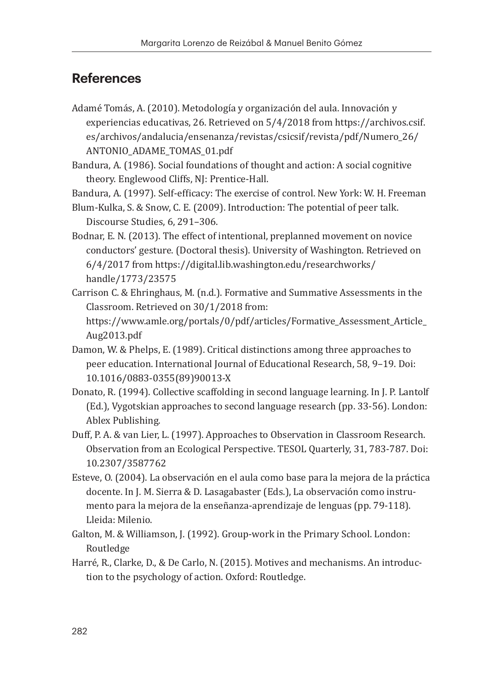### **References**

Adamé Tomás, A. (2010). Metodología y organización del aula. Innovación y experiencias educativas, 26. Retrieved on 5/4/2018 from https://archivos.csif. es/archivos/andalucia/ensenanza/revistas/csicsif/revista/pdf/Numero\_26/ ANTONIO\_ADAME\_TOMAS\_01.pdf

Bandura, A. (1986). Social foundations of thought and action: A social cognitive theory. Englewood Cliffs, NJ: Prentice-Hall.

Bandura, A. (1997). Self-efficacy: The exercise of control. New York: W. H. Freeman

Blum-Kulka, S. & Snow, C. E. (2009). Introduction: The potential of peer talk. Discourse Studies, 6, 291–306.

Bodnar, E. N. (2013). The effect of intentional, preplanned movement on novice conductors' gesture. (Doctoral thesis). University of Washington. Retrieved on 6/4/2017 from https://digital.lib.washington.edu/researchworks/ handle/1773/23575

- Carrison C. & Ehringhaus, M. (n.d.). Formative and Summative Assessments in the Classroom. Retrieved on 30/1/2018 from: https://www.amle.org/portals/0/pdf/articles/Formative\_Assessment\_Article\_ Aug2013.pdf
- Damon, W. & Phelps, E. (1989). Critical distinctions among three approaches to peer education. International Journal of Educational Research, 58, 9–19. Doi: 10.1016/0883-0355(89)90013-X
- Donato, R. (1994). Collective scaffolding in second language learning. In J. P. Lantolf (Ed.), Vygotskian approaches to second language research (pp. 33-56). London: Ablex Publishing.
- Duff, P. A. & van Lier, L. (1997). Approaches to Observation in Classroom Research. Observation from an Ecological Perspective. TESOL Quarterly, 31, 783-787. Doi: 10.2307/3587762
- Esteve, O. (2004). La observación en el aula como base para la mejora de la práctica docente. In J. M. Sierra & D. Lasagabaster (Eds.), La observación como instrumento para la mejora de la enseñanza-aprendizaje de lenguas (pp. 79-118). Lleida: Milenio.
- Galton, M. & Williamson, J. (1992). Group-work in the Primary School. London: Routledge
- Harré, R., Clarke, D., & De Carlo, N. (2015). Motives and mechanisms. An introduction to the psychology of action. Oxford: Routledge.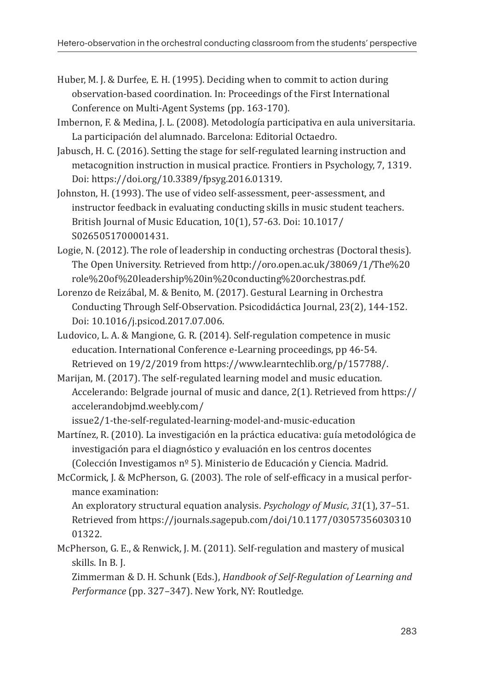- Huber, M. J. & Durfee, E. H. (1995). Deciding when to commit to action during observation-based coordination. In: Proceedings of the First International Conference on Multi-Agent Systems (pp. 163-170).
- Imbernon, F. & Medina, J. L. (2008). Metodología participativa en aula universitaria. La participación del alumnado. Barcelona: Editorial Octaedro.
- Jabusch, H. C. (2016). Setting the stage for self-regulated learning instruction and metacognition instruction in musical practice. Frontiers in Psychology, 7, 1319. Doi: https://doi.org/10.3389/fpsyg.2016.01319.
- Johnston, H. (1993). The use of video self-assessment, peer-assessment, and instructor feedback in evaluating conducting skills in music student teachers. British Journal of Music Education, 10(1), 57-63. Doi: 10.1017/ S0265051700001431.
- Logie, N. (2012). The role of leadership in conducting orchestras (Doctoral thesis). The Open University. Retrieved from http://oro.open.ac.uk/38069/1/The%20 role%20of%20leadership%20in%20conducting%20orchestras.pdf.
- Lorenzo de Reizábal, M. & Benito, M. (2017). Gestural Learning in Orchestra Conducting Through Self-Observation. Psicodidáctica Journal, 23(2), 144-152. Doi: 10.1016/j.psicod.2017.07.006.
- Ludovico, L. A. & Mangione, G. R. (2014). Self-regulation competence in music education. International Conference e-Learning proceedings, pp 46-54. Retrieved on 19/2/2019 from https://www.learntechlib.org/p/157788/.
- Marijan, M. (2017). The self-regulated learning model and music education. Accelerando: Belgrade journal of music and dance, 2(1). Retrieved from https:// accelerandobjmd.weebly.com/

issue2/1-the-self-regulated-learning-model-and-music-education

- Martínez, R. (2010). La investigación en la práctica educativa: guía metodológica de investigación para el diagnóstico y evaluación en los centros docentes (Colección Investigamos nº 5). Ministerio de Educación y Ciencia. Madrid.
- McCormick, J. & McPherson, G. (2003). The role of self-efficacy in a musical performance examination:

An exploratory structural equation analysis. *Psychology of Music*, *31*(1), 37–51. Retrieved from https://journals.sagepub.com/doi/10.1177/03057356030310 01322.

McPherson, G. E., & Renwick, J. M. (2011). Self-regulation and mastery of musical skills. In B. J.

Zimmerman & D. H. Schunk (Eds.), *Handbook of Self-Regulation of Learning and Performance* (pp. 327–347). New York, NY: Routledge.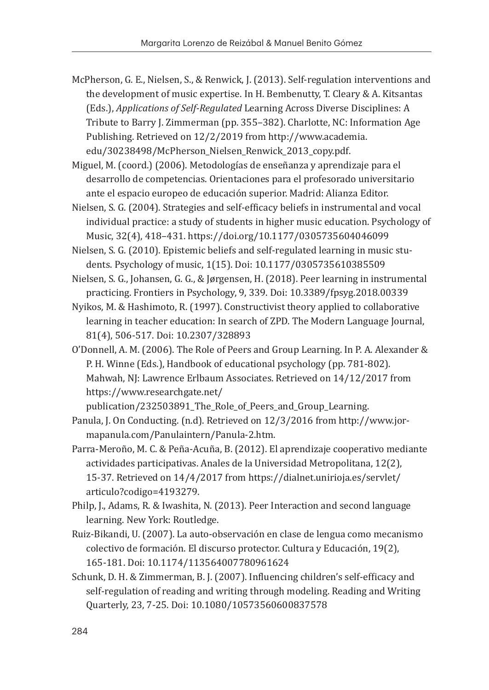- McPherson, G. E., Nielsen, S., & Renwick, J. (2013). Self-regulation interventions and the development of music expertise. In H. Bembenutty, T. Cleary & A. Kitsantas (Eds.), *Applications of Self-Regulated* Learning Across Diverse Disciplines: A Tribute to Barry J. Zimmerman (pp. 355–382). Charlotte, NC: Information Age Publishing. Retrieved on 12/2/2019 from http://www.academia. edu/30238498/McPherson\_Nielsen\_Renwick\_2013\_copy.pdf.
- Miguel, M. (coord.) (2006). Metodologías de enseñanza y aprendizaje para el desarrollo de competencias. Orientaciones para el profesorado universitario ante el espacio europeo de educación superior. Madrid: Alianza Editor.
- Nielsen, S. G. (2004). Strategies and self-efficacy beliefs in instrumental and vocal individual practice: a study of students in higher music education. Psychology of Music, 32(4), 418–431. https://doi.org/10.1177/0305735604046099
- Nielsen, S. G. (2010). Epistemic beliefs and self-regulated learning in music students. Psychology of music, 1(15). Doi: 10.1177/0305735610385509
- Nielsen, S. G., Johansen, G. G., & Jørgensen, H. (2018). Peer learning in instrumental practicing. Frontiers in Psychology, 9, 339. Doi: 10.3389/fpsyg.2018.00339
- Nyikos, M. & Hashimoto, R. (1997). Constructivist theory applied to collaborative learning in teacher education: In search of ZPD. The Modern Language Journal, 81(4), 506-517. Doi: 10.2307/328893
- O'Donnell, A. M. (2006). The Role of Peers and Group Learning. In P. A. Alexander & P. H. Winne (Eds.), Handbook of educational psychology (pp. 781-802). Mahwah, NJ: Lawrence Erlbaum Associates. Retrieved on 14/12/2017 from https://www.researchgate.net/

publication/232503891\_The\_Role\_of\_Peers\_and\_Group\_Learning.

- Panula, J. On Conducting. (n.d). Retrieved on 12/3/2016 from http://www.jormapanula.com/Panulaintern/Panula-2.htm.
- Parra-Meroño, M. C. & Peña-Acuña, B. (2012). El aprendizaje cooperativo mediante actividades participativas. Anales de la Universidad Metropolitana, 12(2), 15-37. Retrieved on 14/4/2017 from https://dialnet.unirioja.es/servlet/ articulo?codigo=4193279.
- Philp, J., Adams, R. & Iwashita, N. (2013). Peer Interaction and second language learning. New York: Routledge.
- Ruiz-Bikandi, U. (2007). La auto-observación en clase de lengua como mecanismo colectivo de formación. El discurso protector. Cultura y Educación, 19(2), 165-181. Doi: 10.1174/113564007780961624
- Schunk, D. H. & Zimmerman, B. J. (2007). Influencing children's self-efficacy and self-regulation of reading and writing through modeling. Reading and Writing Quarterly, 23, 7-25. Doi: 10.1080/10573560600837578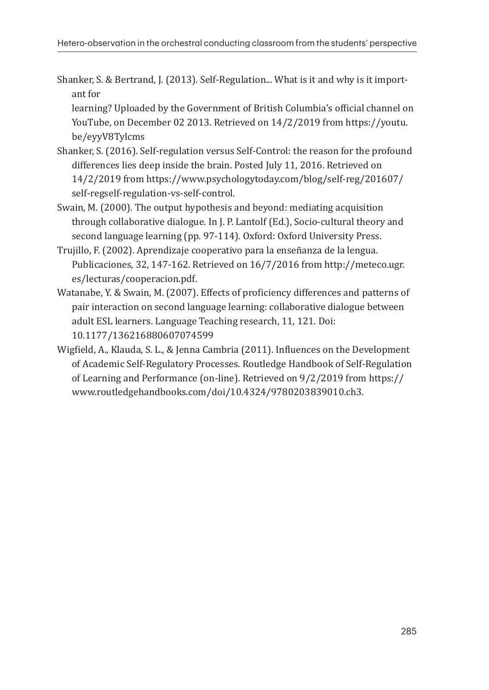Shanker, S. & Bertrand, J. (2013). Self-Regulation... What is it and why is it important for

learning? Uploaded by the Government of British Columbia's official channel on YouTube, on December 02 2013. Retrieved on 14/2/2019 from https://youtu. be/eyyV8Tylcms

- Shanker, S. (2016). Self-regulation versus Self-Control: the reason for the profound differences lies deep inside the brain. Posted July 11, 2016. Retrieved on 14/2/2019 from https://www.psychologytoday.com/blog/self-reg/201607/ self-regself-regulation-vs-self-control.
- Swain, M. (2000). The output hypothesis and beyond: mediating acquisition through collaborative dialogue. In J. P. Lantolf (Ed.), Socio-cultural theory and second language learning (pp. 97-114). Oxford: Oxford University Press.
- Trujillo, F. (2002). Aprendizaje cooperativo para la enseñanza de la lengua. Publicaciones, 32, 147-162. Retrieved on 16/7/2016 from http://meteco.ugr. es/lecturas/cooperacion.pdf.
- Watanabe, Y. & Swain, M. (2007). Effects of proficiency differences and patterns of pair interaction on second language learning: collaborative dialogue between adult ESL learners. Language Teaching research, 11, 121. Doi: 10.1177/136216880607074599
- Wigfield, A., Klauda, S. L., & Jenna Cambria (2011). Influences on the Development of Academic Self-Regulatory Processes. Routledge Handbook of Self-Regulation of Learning and Performance (on-line). Retrieved on 9/2/2019 from https:// www.routledgehandbooks.com/doi/10.4324/9780203839010.ch3.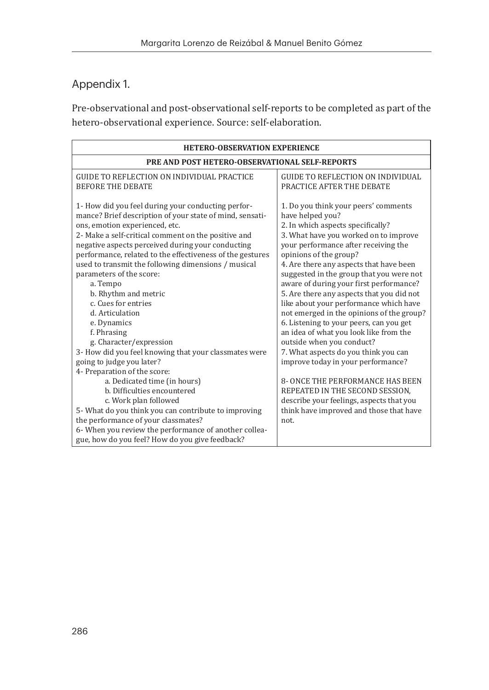#### Appendix 1.

Pre-observational and post-observational self-reports to be completed as part of the hetero-observational experience. Source: self-elaboration.

| <b>HETERO-OBSERVATION EXPERIENCE</b>                                                                                                                                                                                                                                                                                                                                                                                                                                                                                                                                                                                                                                      |                                                                                                                                                                                                                                                                                                                                                                                                                                                                                                                                                                                                                                                                                |  |  |
|---------------------------------------------------------------------------------------------------------------------------------------------------------------------------------------------------------------------------------------------------------------------------------------------------------------------------------------------------------------------------------------------------------------------------------------------------------------------------------------------------------------------------------------------------------------------------------------------------------------------------------------------------------------------------|--------------------------------------------------------------------------------------------------------------------------------------------------------------------------------------------------------------------------------------------------------------------------------------------------------------------------------------------------------------------------------------------------------------------------------------------------------------------------------------------------------------------------------------------------------------------------------------------------------------------------------------------------------------------------------|--|--|
| PRE AND POST HETERO-OBSERVATIONAL SELF-REPORTS                                                                                                                                                                                                                                                                                                                                                                                                                                                                                                                                                                                                                            |                                                                                                                                                                                                                                                                                                                                                                                                                                                                                                                                                                                                                                                                                |  |  |
| <b>GUIDE TO REFLECTION ON INDIVIDUAL PRACTICE</b><br><b>BEFORE THE DEBATE</b>                                                                                                                                                                                                                                                                                                                                                                                                                                                                                                                                                                                             | <b>GUIDE TO REFLECTION ON INDIVIDUAL</b><br>PRACTICE AFTER THE DEBATE                                                                                                                                                                                                                                                                                                                                                                                                                                                                                                                                                                                                          |  |  |
| 1- How did you feel during your conducting perfor-<br>mance? Brief description of your state of mind, sensati-<br>ons, emotion experienced, etc.<br>2- Make a self-critical comment on the positive and<br>negative aspects perceived during your conducting<br>performance, related to the effectiveness of the gestures<br>used to transmit the following dimensions / musical<br>parameters of the score:<br>a. Tempo<br>b. Rhythm and metric<br>c. Cues for entries<br>d. Articulation<br>e. Dynamics<br>f. Phrasing<br>g. Character/expression<br>3- How did you feel knowing that your classmates were<br>going to judge you later?<br>4- Preparation of the score: | 1. Do you think your peers' comments<br>have helped you?<br>2. In which aspects specifically?<br>3. What have you worked on to improve<br>your performance after receiving the<br>opinions of the group?<br>4. Are there any aspects that have been<br>suggested in the group that you were not<br>aware of during your first performance?<br>5. Are there any aspects that you did not<br>like about your performance which have<br>not emerged in the opinions of the group?<br>6. Listening to your peers, can you get<br>an idea of what you look like from the<br>outside when you conduct?<br>7. What aspects do you think you can<br>improve today in your performance? |  |  |
| a. Dedicated time (in hours)                                                                                                                                                                                                                                                                                                                                                                                                                                                                                                                                                                                                                                              | <b>8- ONCE THE PERFORMANCE HAS BEEN</b>                                                                                                                                                                                                                                                                                                                                                                                                                                                                                                                                                                                                                                        |  |  |
| b. Difficulties encountered<br>c. Work plan followed                                                                                                                                                                                                                                                                                                                                                                                                                                                                                                                                                                                                                      | REPEATED IN THE SECOND SESSION,<br>describe your feelings, aspects that you                                                                                                                                                                                                                                                                                                                                                                                                                                                                                                                                                                                                    |  |  |
| 5- What do you think you can contribute to improving                                                                                                                                                                                                                                                                                                                                                                                                                                                                                                                                                                                                                      | think have improved and those that have                                                                                                                                                                                                                                                                                                                                                                                                                                                                                                                                                                                                                                        |  |  |
| the performance of your classmates?                                                                                                                                                                                                                                                                                                                                                                                                                                                                                                                                                                                                                                       | not.                                                                                                                                                                                                                                                                                                                                                                                                                                                                                                                                                                                                                                                                           |  |  |
| 6- When you review the performance of another collea-                                                                                                                                                                                                                                                                                                                                                                                                                                                                                                                                                                                                                     |                                                                                                                                                                                                                                                                                                                                                                                                                                                                                                                                                                                                                                                                                |  |  |
| gue, how do you feel? How do you give feedback?                                                                                                                                                                                                                                                                                                                                                                                                                                                                                                                                                                                                                           |                                                                                                                                                                                                                                                                                                                                                                                                                                                                                                                                                                                                                                                                                |  |  |